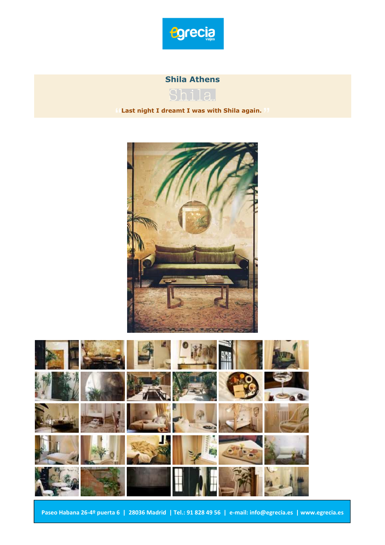

# **Shila Athens**



**Last night I dreamt I was with Shila again.** 



**Paseo Habana 26-4º puerta 6 | 28036 Madrid | Tel.: 91 828 49 56 | e-mail: info@egrecia.es | www.egrecia.es**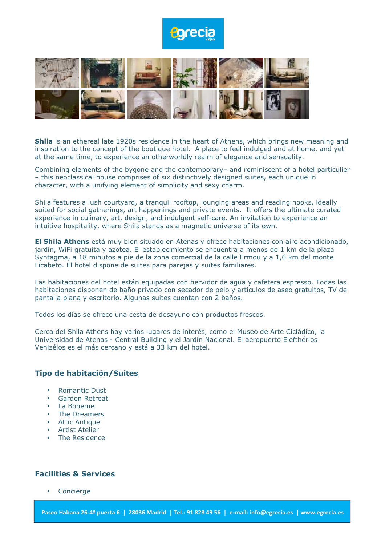

**Shila** is an ethereal late 1920s residence in the heart of Athens, which brings new meaning and inspiration to the concept of the boutique hotel. A place to feel indulged and at home, and yet at the same time, to experience an otherworldly realm of elegance and sensuality.

Combining elements of the bygone and the contemporary– and reminiscent of a hotel particulier – this neoclassical house comprises of six distinctively designed suites, each unique in character, with a unifying element of simplicity and sexy charm.

Shila features a lush courtyard, a tranquil rooftop, lounging areas and reading nooks, ideally suited for social gatherings, art happenings and private events. It offers the ultimate curated experience in culinary, art, design, and indulgent self-care. An invitation to experience an intuitive hospitality, where Shila stands as a magnetic universe of its own.

**El Shila Athens** está muy bien situado en Atenas y ofrece habitaciones con aire acondicionado, jardín, WiFi gratuita y azotea. El establecimiento se encuentra a menos de 1 km de la plaza Syntagma, a 18 minutos a pie de la zona comercial de la calle Ermou y a 1,6 km del monte Licabeto. El hotel dispone de suites para parejas y suites familiares.

Las habitaciones del hotel están equipadas con hervidor de agua y cafetera espresso. Todas las habitaciones disponen de baño privado con secador de pelo y artículos de aseo gratuitos, TV de pantalla plana y escritorio. Algunas suites cuentan con 2 baños.

Todos los días se ofrece una cesta de desayuno con productos frescos.

Cerca del Shila Athens hay varios lugares de interés, como el Museo de Arte Cicládico, la Universidad de Atenas - Central Building y el Jardín Nacional. El aeropuerto Elefthérios Venizélos es el más cercano y está a 33 km del hotel.

#### **Tipo de habitación/Suites**

- Romantic Dust
- Garden Retreat
- La Boheme
- The Dreamers
- Attic Antique
- Artist Atelier
- The Residence

### **Facilities & Services**

**Concierge**